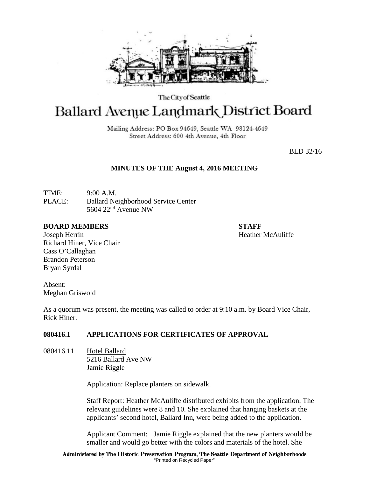

The City of Seattle

# **Ballard Avenue Landmark District Board**

Mailing Address: PO Box 94649, Seattle WA 98124-4649 Street Address: 600 4th Avenue, 4th Floor

BLD 32/16

# **MINUTES OF THE August 4, 2016 MEETING**

TIME: 9:00 A.M. PLACE: Ballard Neighborhood Service Center 5604 22nd Avenue NW

#### **BOARD MEMBERS STAFF**

Joseph Herrin Heather McAuliffe Richard Hiner, Vice Chair Cass O'Callaghan Brandon Peterson Bryan Syrdal

Absent: Meghan Griswold

As a quorum was present, the meeting was called to order at 9:10 a.m. by Board Vice Chair, Rick Hiner.

# **080416.1 APPLICATIONS FOR CERTIFICATES OF APPROVAL**

080416.11 Hotel Ballard 5216 Ballard Ave NW Jamie Riggle

Application: Replace planters on sidewalk.

Staff Report: Heather McAuliffe distributed exhibits from the application. The relevant guidelines were 8 and 10. She explained that hanging baskets at the applicants' second hotel, Ballard Inn, were being added to the application.

Applicant Comment: Jamie Riggle explained that the new planters would be smaller and would go better with the colors and materials of the hotel. She

Administered by The Historic Preservation Program, The Seattle Department of Neighborhoods "Printed on Recycled Paper"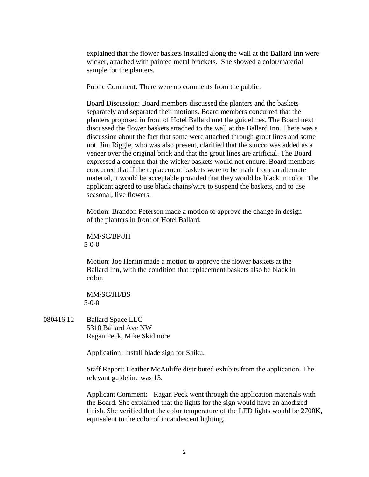explained that the flower baskets installed along the wall at the Ballard Inn were wicker, attached with painted metal brackets. She showed a color/material sample for the planters.

Public Comment: There were no comments from the public.

Board Discussion: Board members discussed the planters and the baskets separately and separated their motions. Board members concurred that the planters proposed in front of Hotel Ballard met the guidelines. The Board next discussed the flower baskets attached to the wall at the Ballard Inn. There was a discussion about the fact that some were attached through grout lines and some not. Jim Riggle, who was also present, clarified that the stucco was added as a veneer over the original brick and that the grout lines are artificial. The Board expressed a concern that the wicker baskets would not endure. Board members concurred that if the replacement baskets were to be made from an alternate material, it would be acceptable provided that they would be black in color. The applicant agreed to use black chains/wire to suspend the baskets, and to use seasonal, live flowers.

Motion: Brandon Peterson made a motion to approve the change in design of the planters in front of Hotel Ballard.

MM/SC/BP/JH 5-0-0

Motion: Joe Herrin made a motion to approve the flower baskets at the Ballard Inn, with the condition that replacement baskets also be black in color.

MM/SC/JH/BS 5-0-0

080416.12 Ballard Space LLC 5310 Ballard Ave NW Ragan Peck, Mike Skidmore

Application: Install blade sign for Shiku.

Staff Report: Heather McAuliffe distributed exhibits from the application. The relevant guideline was 13.

Applicant Comment: Ragan Peck went through the application materials with the Board. She explained that the lights for the sign would have an anodized finish. She verified that the color temperature of the LED lights would be 2700K, equivalent to the color of incandescent lighting.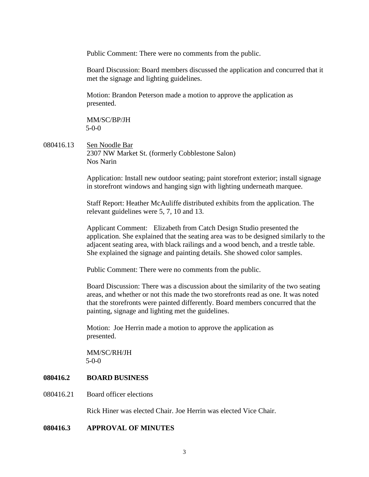Public Comment: There were no comments from the public.

Board Discussion: Board members discussed the application and concurred that it met the signage and lighting guidelines.

Motion: Brandon Peterson made a motion to approve the application as presented.

MM/SC/BP/JH 5-0-0

080416.13 Sen Noodle Bar 2307 NW Market St. (formerly Cobblestone Salon) Nos Narin

> Application: Install new outdoor seating; paint storefront exterior; install signage in storefront windows and hanging sign with lighting underneath marquee.

Staff Report: Heather McAuliffe distributed exhibits from the application. The relevant guidelines were 5, 7, 10 and 13.

Applicant Comment: Elizabeth from Catch Design Studio presented the application. She explained that the seating area was to be designed similarly to the adjacent seating area, with black railings and a wood bench, and a trestle table. She explained the signage and painting details. She showed color samples.

Public Comment: There were no comments from the public.

Board Discussion: There was a discussion about the similarity of the two seating areas, and whether or not this made the two storefronts read as one. It was noted that the storefronts were painted differently. Board members concurred that the painting, signage and lighting met the guidelines.

Motion: Joe Herrin made a motion to approve the application as presented.

MM/SC/RH/JH 5-0-0

#### **080416.2 BOARD BUSINESS**

080416.21 Board officer elections

Rick Hiner was elected Chair. Joe Herrin was elected Vice Chair.

## **080416.3 APPROVAL OF MINUTES**